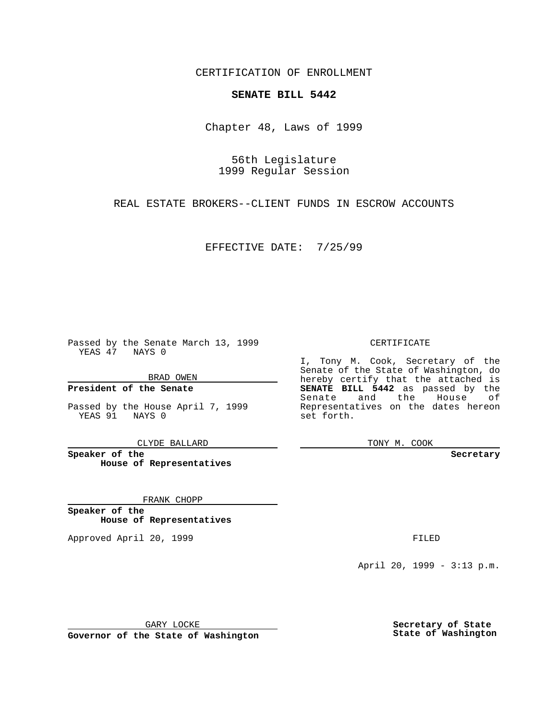CERTIFICATION OF ENROLLMENT

## **SENATE BILL 5442**

Chapter 48, Laws of 1999

56th Legislature 1999 Regular Session

REAL ESTATE BROKERS--CLIENT FUNDS IN ESCROW ACCOUNTS

EFFECTIVE DATE: 7/25/99

Passed by the Senate March 13, 1999 YEAS 47 NAYS 0

BRAD OWEN

**President of the Senate**

Passed by the House April 7, 1999 YEAS 91 NAYS 0

CLYDE BALLARD

**Speaker of the House of Representatives**

FRANK CHOPP

**Speaker of the House of Representatives**

Approved April 20, 1999 **FILED** 

### CERTIFICATE

I, Tony M. Cook, Secretary of the Senate of the State of Washington, do hereby certify that the attached is **SENATE BILL 5442** as passed by the Senate and the House of Representatives on the dates hereon set forth.

TONY M. COOK

#### **Secretary**

April 20, 1999 - 3:13 p.m.

GARY LOCKE

**Governor of the State of Washington**

**Secretary of State State of Washington**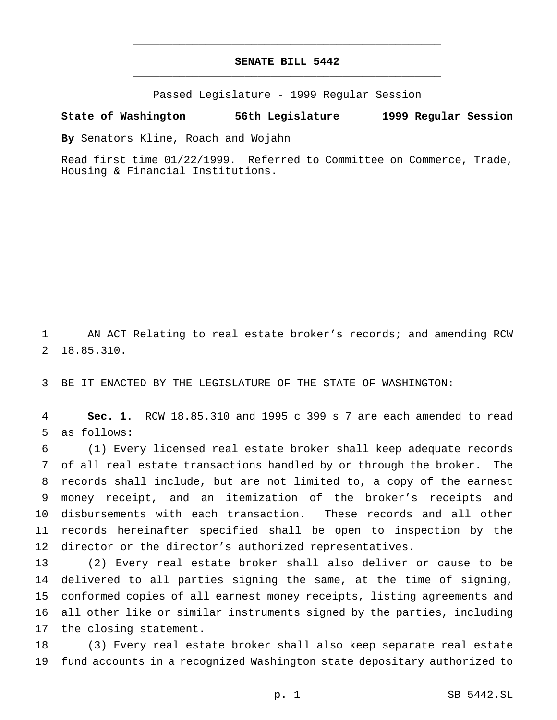# **SENATE BILL 5442** \_\_\_\_\_\_\_\_\_\_\_\_\_\_\_\_\_\_\_\_\_\_\_\_\_\_\_\_\_\_\_\_\_\_\_\_\_\_\_\_\_\_\_\_\_\_\_

\_\_\_\_\_\_\_\_\_\_\_\_\_\_\_\_\_\_\_\_\_\_\_\_\_\_\_\_\_\_\_\_\_\_\_\_\_\_\_\_\_\_\_\_\_\_\_

Passed Legislature - 1999 Regular Session

#### **State of Washington 56th Legislature 1999 Regular Session**

**By** Senators Kline, Roach and Wojahn

Read first time 01/22/1999. Referred to Committee on Commerce, Trade, Housing & Financial Institutions.

 AN ACT Relating to real estate broker's records; and amending RCW 18.85.310.

BE IT ENACTED BY THE LEGISLATURE OF THE STATE OF WASHINGTON:

 **Sec. 1.** RCW 18.85.310 and 1995 c 399 s 7 are each amended to read as follows:

 (1) Every licensed real estate broker shall keep adequate records of all real estate transactions handled by or through the broker. The records shall include, but are not limited to, a copy of the earnest money receipt, and an itemization of the broker's receipts and disbursements with each transaction. These records and all other records hereinafter specified shall be open to inspection by the director or the director's authorized representatives.

 (2) Every real estate broker shall also deliver or cause to be delivered to all parties signing the same, at the time of signing, conformed copies of all earnest money receipts, listing agreements and all other like or similar instruments signed by the parties, including the closing statement.

 (3) Every real estate broker shall also keep separate real estate fund accounts in a recognized Washington state depositary authorized to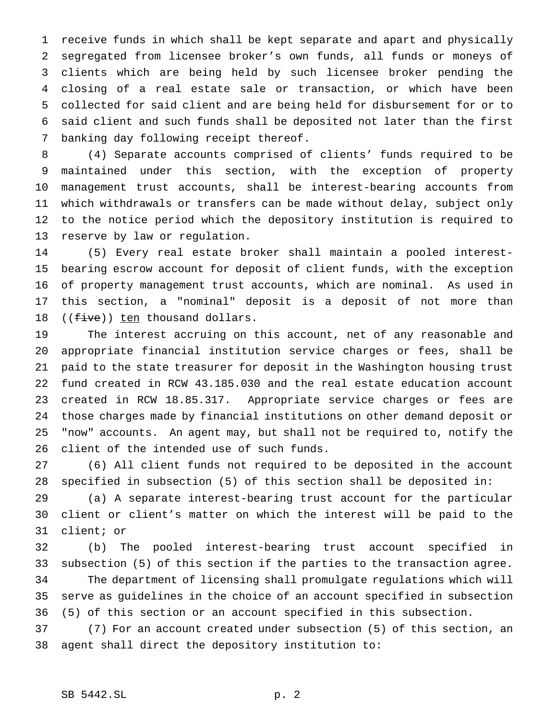receive funds in which shall be kept separate and apart and physically segregated from licensee broker's own funds, all funds or moneys of clients which are being held by such licensee broker pending the closing of a real estate sale or transaction, or which have been collected for said client and are being held for disbursement for or to said client and such funds shall be deposited not later than the first banking day following receipt thereof.

 (4) Separate accounts comprised of clients' funds required to be maintained under this section, with the exception of property management trust accounts, shall be interest-bearing accounts from which withdrawals or transfers can be made without delay, subject only to the notice period which the depository institution is required to reserve by law or regulation.

 (5) Every real estate broker shall maintain a pooled interest- bearing escrow account for deposit of client funds, with the exception of property management trust accounts, which are nominal. As used in this section, a "nominal" deposit is a deposit of not more than  $((five))$  ten thousand dollars.

 The interest accruing on this account, net of any reasonable and appropriate financial institution service charges or fees, shall be paid to the state treasurer for deposit in the Washington housing trust fund created in RCW 43.185.030 and the real estate education account created in RCW 18.85.317. Appropriate service charges or fees are those charges made by financial institutions on other demand deposit or "now" accounts. An agent may, but shall not be required to, notify the client of the intended use of such funds.

 (6) All client funds not required to be deposited in the account specified in subsection (5) of this section shall be deposited in:

 (a) A separate interest-bearing trust account for the particular client or client's matter on which the interest will be paid to the client; or

 (b) The pooled interest-bearing trust account specified in subsection (5) of this section if the parties to the transaction agree. The department of licensing shall promulgate regulations which will serve as guidelines in the choice of an account specified in subsection (5) of this section or an account specified in this subsection.

 (7) For an account created under subsection (5) of this section, an agent shall direct the depository institution to: